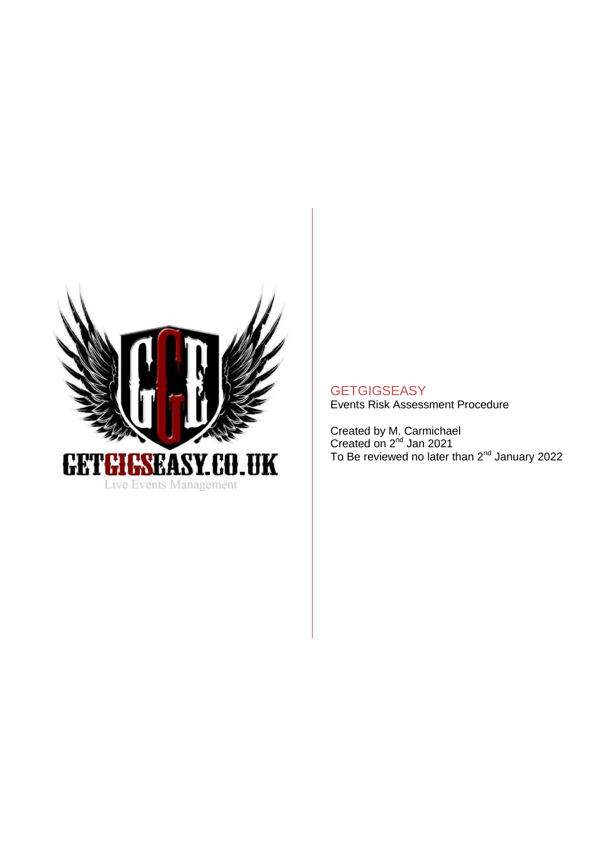

# **GETGIGSEASY**

Events Risk Assessment Procedure

Created by M. Carmichael Created on 2<sup>nd</sup> Jan 2021 To Be reviewed no later than 2<sup>nd</sup> January 2022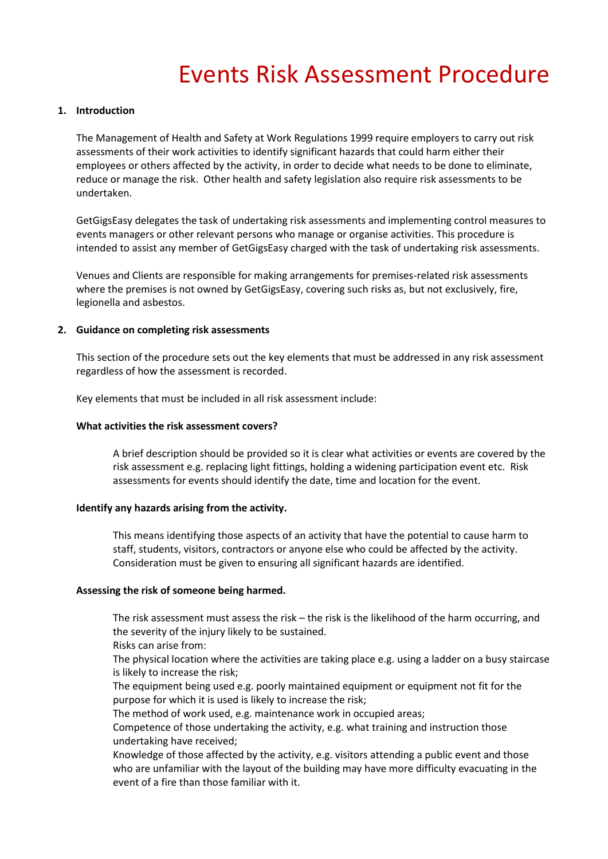# Events Risk Assessment Procedure

# **1. Introduction**

The Management of Health and Safety at Work Regulations 1999 require employers to carry out risk assessments of their work activities to identify significant hazards that could harm either their employees or others affected by the activity, in order to decide what needs to be done to eliminate, reduce or manage the risk. Other health and safety legislation also require risk assessments to be undertaken.

GetGigsEasy delegates the task of undertaking risk assessments and implementing control measures to events managers or other relevant persons who manage or organise activities. This procedure is intended to assist any member of GetGigsEasy charged with the task of undertaking risk assessments.

Venues and Clients are responsible for making arrangements for premises-related risk assessments where the premises is not owned by GetGigsEasy, covering such risks as, but not exclusively, fire, legionella and asbestos.

#### **2. Guidance on completing risk assessments**

This section of the procedure sets out the key elements that must be addressed in any risk assessment regardless of how the assessment is recorded.

Key elements that must be included in all risk assessment include:

#### **What activities the risk assessment covers?**

A brief description should be provided so it is clear what activities or events are covered by the risk assessment e.g. replacing light fittings, holding a widening participation event etc. Risk assessments for events should identify the date, time and location for the event.

#### **Identify any hazards arising from the activity.**

This means identifying those aspects of an activity that have the potential to cause harm to staff, students, visitors, contractors or anyone else who could be affected by the activity. Consideration must be given to ensuring all significant hazards are identified.

#### **Assessing the risk of someone being harmed.**

The risk assessment must assess the risk – the risk is the likelihood of the harm occurring, and the severity of the injury likely to be sustained.

Risks can arise from:

The physical location where the activities are taking place e.g. using a ladder on a busy staircase is likely to increase the risk;

The equipment being used e.g. poorly maintained equipment or equipment not fit for the purpose for which it is used is likely to increase the risk;

The method of work used, e.g. maintenance work in occupied areas;

Competence of those undertaking the activity, e.g. what training and instruction those undertaking have received;

Knowledge of those affected by the activity, e.g. visitors attending a public event and those who are unfamiliar with the layout of the building may have more difficulty evacuating in the event of a fire than those familiar with it.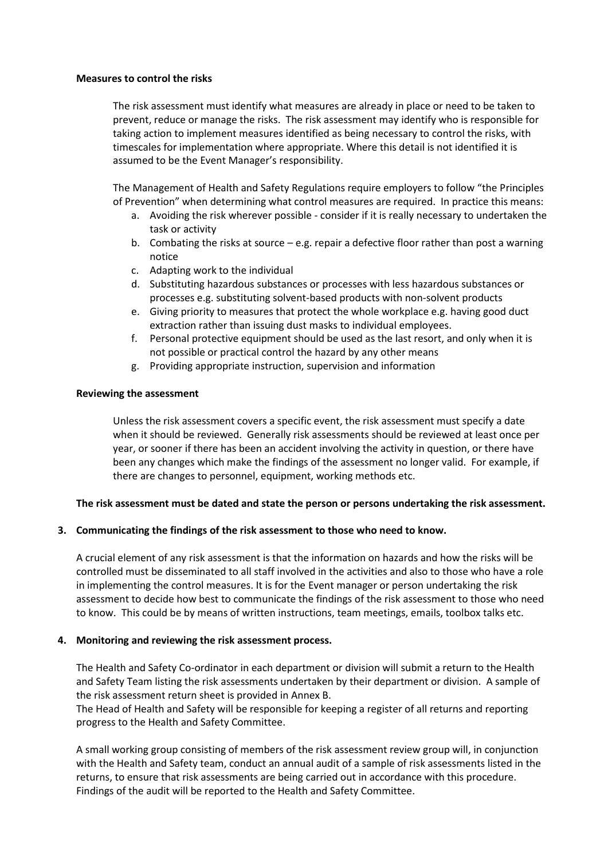#### **Measures to control the risks**

The risk assessment must identify what measures are already in place or need to be taken to prevent, reduce or manage the risks. The risk assessment may identify who is responsible for taking action to implement measures identified as being necessary to control the risks, with timescales for implementation where appropriate. Where this detail is not identified it is assumed to be the Event Manager's responsibility.

The Management of Health and Safety Regulations require employers to follow "the Principles of Prevention" when determining what control measures are required. In practice this means:

- a. Avoiding the risk wherever possible consider if it is really necessary to undertaken the task or activity
- b. Combating the risks at source  $-e.g.$  repair a defective floor rather than post a warning notice
- c. Adapting work to the individual
- d. Substituting hazardous substances or processes with less hazardous substances or processes e.g. substituting solvent-based products with non-solvent products
- e. Giving priority to measures that protect the whole workplace e.g. having good duct extraction rather than issuing dust masks to individual employees.
- f. Personal protective equipment should be used as the last resort, and only when it is not possible or practical control the hazard by any other means
- g. Providing appropriate instruction, supervision and information

# **Reviewing the assessment**

Unless the risk assessment covers a specific event, the risk assessment must specify a date when it should be reviewed. Generally risk assessments should be reviewed at least once per year, or sooner if there has been an accident involving the activity in question, or there have been any changes which make the findings of the assessment no longer valid. For example, if there are changes to personnel, equipment, working methods etc.

# **The risk assessment must be dated and state the person or persons undertaking the risk assessment.**

# **3. Communicating the findings of the risk assessment to those who need to know.**

A crucial element of any risk assessment is that the information on hazards and how the risks will be controlled must be disseminated to all staff involved in the activities and also to those who have a role in implementing the control measures. It is for the Event manager or person undertaking the risk assessment to decide how best to communicate the findings of the risk assessment to those who need to know. This could be by means of written instructions, team meetings, emails, toolbox talks etc.

# **4. Monitoring and reviewing the risk assessment process.**

The Health and Safety Co-ordinator in each department or division will submit a return to the Health and Safety Team listing the risk assessments undertaken by their department or division. A sample of the risk assessment return sheet is provided in Annex B.

The Head of Health and Safety will be responsible for keeping a register of all returns and reporting progress to the Health and Safety Committee.

A small working group consisting of members of the risk assessment review group will, in conjunction with the Health and Safety team, conduct an annual audit of a sample of risk assessments listed in the returns, to ensure that risk assessments are being carried out in accordance with this procedure. Findings of the audit will be reported to the Health and Safety Committee.